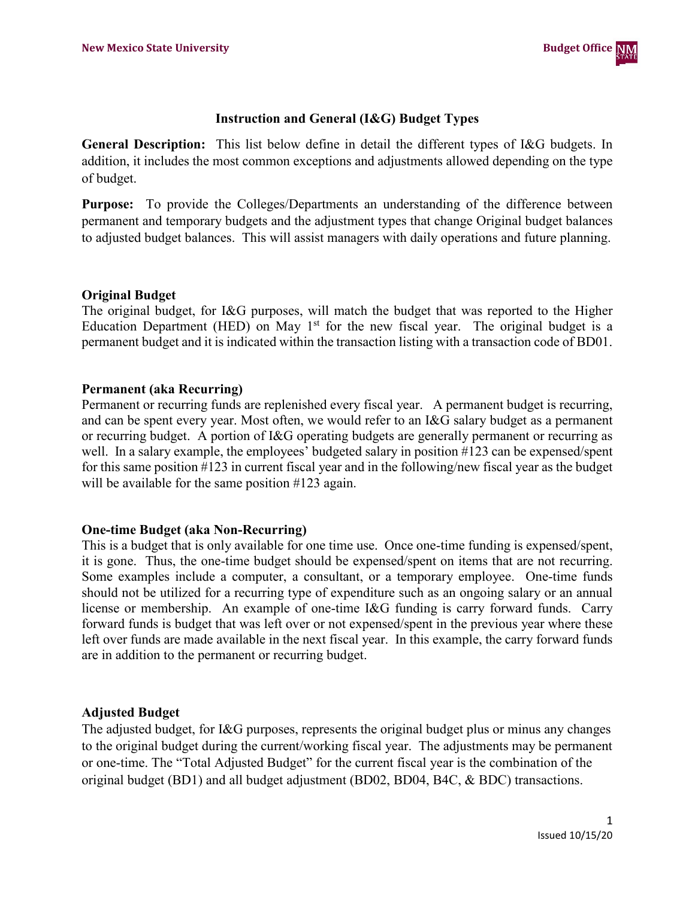

## **Instruction and General (I&G) Budget Types**

**General Description:** This list below define in detail the different types of I&G budgets. In addition, it includes the most common exceptions and adjustments allowed depending on the type of budget.

**Purpose:** To provide the Colleges/Departments an understanding of the difference between permanent and temporary budgets and the adjustment types that change Original budget balances to adjusted budget balances. This will assist managers with daily operations and future planning.

#### **Original Budget**

The original budget, for I&G purposes, will match the budget that was reported to the Higher Education Department (HED) on May 1<sup>st</sup> for the new fiscal year. The original budget is a permanent budget and it is indicated within the transaction listing with a transaction code of BD01.

#### **Permanent (aka Recurring)**

Permanent or recurring funds are replenished every fiscal year. A permanent budget is recurring, and can be spent every year. Most often, we would refer to an I&G salary budget as a permanent or recurring budget. A portion of I&G operating budgets are generally permanent or recurring as well. In a salary example, the employees' budgeted salary in position #123 can be expensed/spent for this same position #123 in current fiscal year and in the following/new fiscal year as the budget will be available for the same position #123 again.

## **One-time Budget (aka Non-Recurring)**

This is a budget that is only available for one time use. Once one-time funding is expensed/spent, it is gone. Thus, the one-time budget should be expensed/spent on items that are not recurring. Some examples include a computer, a consultant, or a temporary employee. One-time funds should not be utilized for a recurring type of expenditure such as an ongoing salary or an annual license or membership. An example of one-time I&G funding is carry forward funds. Carry forward funds is budget that was left over or not expensed/spent in the previous year where these left over funds are made available in the next fiscal year. In this example, the carry forward funds are in addition to the permanent or recurring budget.

## **Adjusted Budget**

The adjusted budget, for I&G purposes, represents the original budget plus or minus any changes to the original budget during the current/working fiscal year. The adjustments may be permanent or one-time. The "Total Adjusted Budget" for the current fiscal year is the combination of the original budget (BD1) and all budget adjustment (BD02, BD04, B4C, & BDC) transactions.